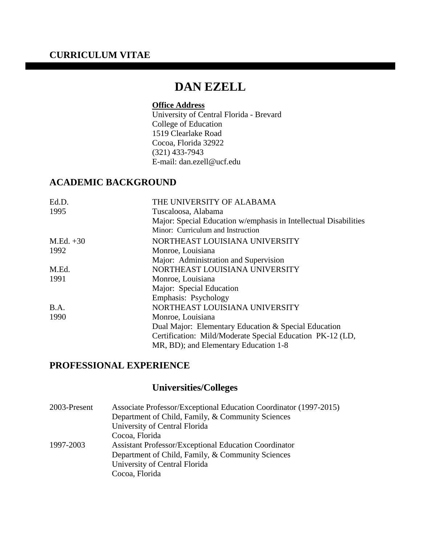## **CURRICULUM VITAE**

# **DAN EZELL**

## **Office Address**

University of Central Florida - Brevard College of Education 1519 Clearlake Road Cocoa, Florida 32922 (321) 433-7943 E-mail: dan.ezell@ucf.edu

## **ACADEMIC BACKGROUND**

| Ed.D.       | THE UNIVERSITY OF ALABAMA                                        |
|-------------|------------------------------------------------------------------|
| 1995        | Tuscaloosa, Alabama                                              |
|             | Major: Special Education w/emphasis in Intellectual Disabilities |
|             | Minor: Curriculum and Instruction                                |
| $M.Ed. +30$ | NORTHEAST LOUISIANA UNIVERSITY                                   |
| 1992        | Monroe, Louisiana                                                |
|             | Major: Administration and Supervision                            |
| M.Ed.       | NORTHEAST LOUISIANA UNIVERSITY                                   |
| 1991        | Monroe, Louisiana                                                |
|             | Major: Special Education                                         |
|             | Emphasis: Psychology                                             |
| B.A.        | NORTHEAST LOUISIANA UNIVERSITY                                   |
| 1990        | Monroe, Louisiana                                                |
|             | Dual Major: Elementary Education & Special Education             |
|             | Certification: Mild/Moderate Special Education PK-12 (LD,        |
|             | MR, BD); and Elementary Education 1-8                            |
|             |                                                                  |

## **PROFESSIONAL EXPERIENCE**

## **Universities/Colleges**

| 2003-Present | Associate Professor/Exceptional Education Coordinator (1997-2015) |
|--------------|-------------------------------------------------------------------|
|              | Department of Child, Family, & Community Sciences                 |
|              | University of Central Florida                                     |
|              | Cocoa, Florida                                                    |
| 1997-2003    | <b>Assistant Professor/Exceptional Education Coordinator</b>      |
|              | Department of Child, Family, & Community Sciences                 |
|              | University of Central Florida                                     |
|              | Cocoa, Florida                                                    |
|              |                                                                   |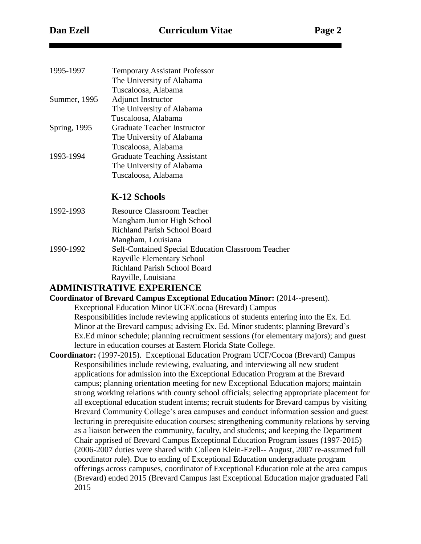| 1995-1997           | <b>Temporary Assistant Professor</b> |
|---------------------|--------------------------------------|
|                     | The University of Alabama            |
|                     | Tuscaloosa, Alabama                  |
| Summer, 1995        | <b>Adjunct Instructor</b>            |
|                     | The University of Alabama            |
|                     | Tuscaloosa, Alabama                  |
| <b>Spring, 1995</b> | Graduate Teacher Instructor          |
|                     | The University of Alabama            |
|                     | Tuscaloosa, Alabama                  |
| 1993-1994           | <b>Graduate Teaching Assistant</b>   |
|                     | The University of Alabama            |
|                     | Tuscaloosa, Alabama                  |
|                     |                                      |

## **K-12 Schools**

1992-1993 Resource Classroom Teacher Mangham Junior High School Richland Parish School Board Mangham, Louisiana 1990-1992 Self-Contained Special Education Classroom Teacher Rayville Elementary School Richland Parish School Board Rayville, Louisiana

## **ADMINISTRATIVE EXPERIENCE**

**Coordinator of Brevard Campus Exceptional Education Minor:** (2014--present).

 Exceptional Education Minor UCF/Cocoa (Brevard) Campus Responsibilities include reviewing applications of students entering into the Ex. Ed. Minor at the Brevard campus; advising Ex. Ed. Minor students; planning Brevard's Ex.Ed minor schedule; planning recruitment sessions (for elementary majors); and guest lecture in education courses at Eastern Florida State College.

**Coordinator:** (1997-2015). Exceptional Education Program UCF/Cocoa (Brevard) Campus Responsibilities include reviewing, evaluating, and interviewing all new student applications for admission into the Exceptional Education Program at the Brevard campus; planning orientation meeting for new Exceptional Education majors; maintain strong working relations with county school officials; selecting appropriate placement for all exceptional education student interns; recruit students for Brevard campus by visiting Brevard Community College's area campuses and conduct information session and guest lecturing in prerequisite education courses; strengthening community relations by serving as a liaison between the community, faculty, and students; and keeping the Department Chair apprised of Brevard Campus Exceptional Education Program issues (1997-2015) (2006-2007 duties were shared with Colleen Klein-Ezell-- August, 2007 re-assumed full coordinator role). Due to ending of Exceptional Education undergraduate program offerings across campuses, coordinator of Exceptional Education role at the area campus (Brevard) ended 2015 (Brevard Campus last Exceptional Education major graduated Fall 2015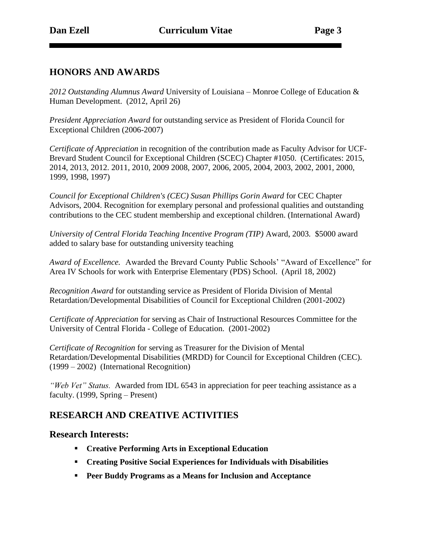## **HONORS AND AWARDS**

*2012 Outstanding Alumnus Award* University of Louisiana – Monroe College of Education & Human Development. (2012, April 26)

*President Appreciation Award* for outstanding service as President of Florida Council for Exceptional Children (2006-2007)

*Certificate of Appreciation* in recognition of the contribution made as Faculty Advisor for UCF-Brevard Student Council for Exceptional Children (SCEC) Chapter #1050. (Certificates: 2015, 2014, 2013, 2012. 2011, 2010, 2009 2008, 2007, 2006, 2005, 2004, 2003, 2002, 2001, 2000, 1999, 1998, 1997)

*Council for Exceptional Children's (CEC) Susan Phillips Gorin Award* for CEC Chapter Advisors, 2004. Recognition for exemplary personal and professional qualities and outstanding contributions to the CEC student membership and exceptional children. (International Award)

*University of Central Florida Teaching Incentive Program (TIP)* Award, 2003*.* \$5000 award added to salary base for outstanding university teaching

*Award of Excellence.* Awarded the Brevard County Public Schools' "Award of Excellence" for Area IV Schools for work with Enterprise Elementary (PDS) School. (April 18, 2002)

*Recognition Award* for outstanding service as President of Florida Division of Mental Retardation/Developmental Disabilities of Council for Exceptional Children (2001-2002)

*Certificate of Appreciation* for serving as Chair of Instructional Resources Committee for the University of Central Florida - College of Education. (2001-2002)

*Certificate of Recognition* for serving as Treasurer for the Division of Mental Retardation/Developmental Disabilities (MRDD) for Council for Exceptional Children (CEC). (1999 – 2002) (International Recognition)

*"Web Vet" Status.* Awarded from IDL 6543 in appreciation for peer teaching assistance as a faculty. (1999, Spring – Present)

## **RESEARCH AND CREATIVE ACTIVITIES**

### **Research Interests:**

- **Creative Performing Arts in Exceptional Education**
- **Creating Positive Social Experiences for Individuals with Disabilities**
- **Peer Buddy Programs as a Means for Inclusion and Acceptance**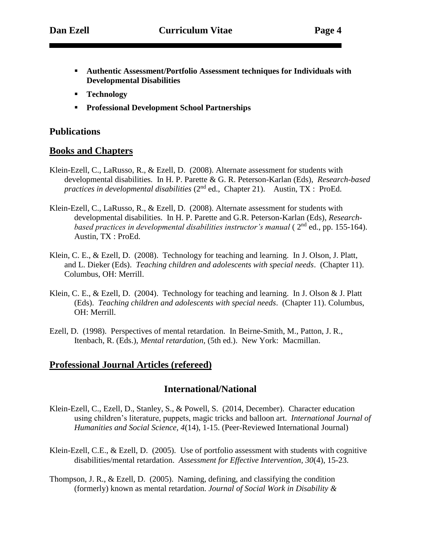- **Authentic Assessment/Portfolio Assessment techniques for Individuals with Developmental Disabilities**
- **Technology**
- **Professional Development School Partnerships**

### **Publications**

#### **Books and Chapters**

- Klein-Ezell, C., LaRusso, R., & Ezell, D. (2008). Alternate assessment for students with developmental disabilities. In H. P. Parette & G. R. Peterson-Karlan (Eds), *Research-based practices in developmental disabilities* (2<sup>nd</sup> ed., Chapter 21). Austin, TX : ProEd.
- Klein-Ezell, C., LaRusso, R., & Ezell, D. (2008). Alternate assessment for students with developmental disabilities. In H. P. Parette and G.R. Peterson-Karlan (Eds), *Researchbased practices in developmental disabilities instructor's manual* (2<sup>nd</sup> ed., pp. 155-164). Austin, TX : ProEd.
- Klein, C. E., & Ezell, D. (2008). Technology for teaching and learning. In J. Olson, J. Platt, and L. Dieker (Eds). *Teaching children and adolescents with special needs*. (Chapter 11). Columbus, OH: Merrill.
- Klein, C. E., & Ezell, D. (2004). Technology for teaching and learning. In J. Olson & J. Platt (Eds). *Teaching children and adolescents with special needs*. (Chapter 11). Columbus, OH: Merrill.
- Ezell, D. (1998).Perspectives of mental retardation. In Beirne-Smith, M., Patton, J. R., Itenbach, R. (Eds.), *Mental retardation,* (5th ed.). New York: Macmillan.

### **Professional Journal Articles (refereed)**

#### **International/National**

- Klein-Ezell, C., Ezell, D., Stanley, S., & Powell, S. (2014, December). Character education using children's literature, puppets, magic tricks and balloon art. *International Journal of Humanities and Social Science, 4*(14), 1-15. (Peer-Reviewed International Journal)
- Klein-Ezell, C.E., & Ezell, D. (2005). Use of portfolio assessment with students with cognitive disabilities/mental retardation. *Assessment for Effective Intervention, 30*(4), 15-23.
- Thompson, J. R., & Ezell, D. (2005). Naming, defining, and classifying the condition (formerly) known as mental retardation. *Journal of Social Work in Disability &*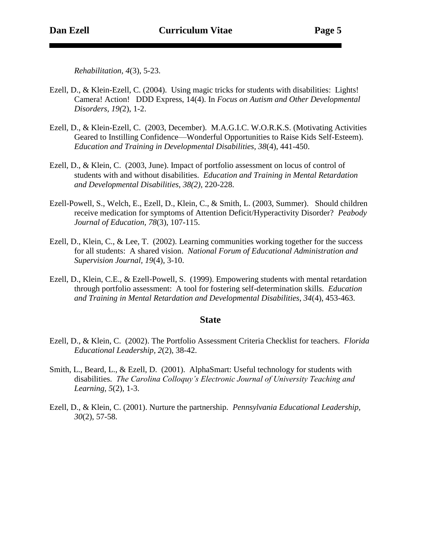*Rehabilitation, 4*(3), 5-23.

- Ezell, D., & Klein-Ezell, C. (2004). Using magic tricks for students with disabilities: Lights! Camera! Action! DDD Express, 14(4). In *Focus on Autism and Other Developmental Disorders, 19(*2), 1-2.
- Ezell, D., & Klein-Ezell, C. (2003, December). M.A.G.I.C. W.O.R.K.S. (Motivating Activities Geared to Instilling Confidence—Wonderful Opportunities to Raise Kids Self-Esteem). *Education and Training in Developmental Disabilities, 38*(4), 441-450.
- Ezell, D., & Klein, C. (2003, June). Impact of portfolio assessment on locus of control of students with and without disabilities. *Education and Training in Mental Retardation and Developmental Disabilities, 38(2)*, 220-228.
- Ezell-Powell, S., Welch, E., Ezell, D., Klein, C., & Smith, L. (2003, Summer). Should children receive medication for symptoms of Attention Deficit/Hyperactivity Disorder? *Peabody Journal of Education, 78*(3), 107-115.
- Ezell, D., Klein, C., & Lee, T. (2002). Learning communities working together for the success for all students: A shared vision. *National Forum of Educational Administration and Supervision Journal, 19*(4), 3-10.
- Ezell, D., Klein, C.E., & Ezell-Powell, S. (1999). Empowering students with mental retardation through portfolio assessment: A tool for fostering self-determination skills. *Education and Training in Mental Retardation and Developmental Disabilities, 34*(4), 453-463.

#### **State**

- Ezell, D., & Klein, C. (2002). The Portfolio Assessment Criteria Checklist for teachers. *Florida Educational Leadership, 2*(2), 38-42.
- Smith, L., Beard, L., & Ezell, D. (2001). AlphaSmart: Useful technology for students with disabilities. *The Carolina Colloquy's Electronic Journal of University Teaching and Learning, 5*(2), 1-3.
- Ezell, D., & Klein, C. (2001). Nurture the partnership. *Pennsylvania Educational Leadership, 30*(2), 57-58.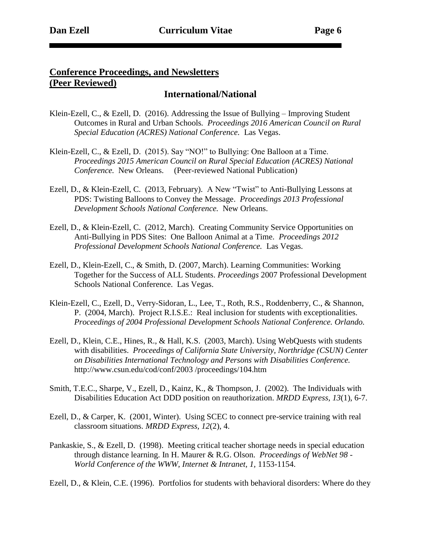## **Conference Proceedings, and Newsletters (Peer Reviewed)**

### **International/National**

- Klein-Ezell, C., & Ezell, D. (2016). Addressing the Issue of Bullying Improving Student Outcomes in Rural and Urban Schools*. Proceedings 2016 American Council on Rural Special Education (ACRES) National Conference.* Las Vegas.
- Klein-Ezell, C., & Ezell, D. (2015). Say "NO!" to Bullying: One Balloon at a Time. *Proceedings 2015 American Council on Rural Special Education (ACRES) National Conference.* New Orleans. (Peer-reviewed National Publication)
- Ezell, D., & Klein-Ezell, C. (2013, February). A New "Twist" to Anti-Bullying Lessons at PDS: Twisting Balloons to Convey the Message. *Proceedings 2013 Professional Development Schools National Conference.* New Orleans.
- Ezell, D., & Klein-Ezell, C. (2012, March). Creating Community Service Opportunities on Anti-Bullying in PDS Sites: One Balloon Animal at a Time. *Proceedings 2012 Professional Development Schools National Conference.* Las Vegas.
- Ezell, D., Klein-Ezell, C., & Smith, D. (2007, March). Learning Communities: Working Together for the Success of ALL Students. *Proceedings* 2007 Professional Development Schools National Conference. Las Vegas.
- Klein-Ezell, C., Ezell, D., Verry-Sidoran, L., Lee, T., Roth, R.S., Roddenberry, C., & Shannon, P. (2004, March). Project R.I.S.E.: Real inclusion for students with exceptionalities. *Proceedings of 2004 Professional Development Schools National Conference. Orlando.*
- Ezell, D., Klein, C.E., Hines, R., & Hall, K.S. (2003, March). Using WebQuests with students with disabilities. *Proceedings of California State University, Northridge (CSUN) Center on Disabilities International Technology and Persons with Disabilities Conference.*  http://www.csun.edu/cod/conf/2003 /proceedings/104.htm
- Smith, T.E.C., Sharpe, V., Ezell, D., Kainz, K., & Thompson, J. (2002). The Individuals with Disabilities Education Act DDD position on reauthorization. *MRDD Express, 13*(1), 6-7.
- Ezell, D., & Carper, K. (2001, Winter). Using SCEC to connect pre-service training with real classroom situations. *MRDD Express, 12*(2), 4.
- Pankaskie, S., & Ezell, D. (1998). Meeting critical teacher shortage needs in special education through distance learning. In H. Maurer & R.G. Olson. *Proceedings of WebNet 98 - World Conference of the WWW, Internet & Intranet, 1,* 1153-1154.

Ezell, D., & Klein, C.E. (1996). Portfolios for students with behavioral disorders: Where do they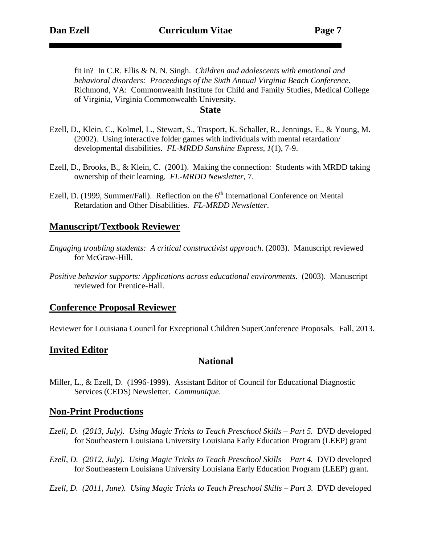fit in? In C.R. Ellis & N. N. Singh. *Children and adolescents with emotional and behavioral disorders: Proceedings of the Sixth Annual Virginia Beach Conference*. Richmond, VA: Commonwealth Institute for Child and Family Studies, Medical College of Virginia, Virginia Commonwealth University.

#### **State**

- Ezell, D., Klein, C., Kolmel, L., Stewart, S., Trasport, K. Schaller, R., Jennings, E., & Young, M. (2002). Using interactive folder games with individuals with mental retardation/ developmental disabilities. *FL-MRDD Sunshine Express, 1*(1), 7-9.
- Ezell, D., Brooks, B., & Klein, C. (2001). Making the connection: Students with MRDD taking ownership of their learning. *FL-MRDD Newsletter*, 7.
- Ezell, D. (1999, Summer/Fall). Reflection on the 6<sup>th</sup> International Conference on Mental Retardation and Other Disabilities. *FL-MRDD Newsletter*.

### **Manuscript/Textbook Reviewer**

- *Engaging troubling students: A critical constructivist approach*. (2003). Manuscript reviewed for McGraw-Hill.
- *Positive behavior supports: Applications across educational environments*. (2003). Manuscript reviewed for Prentice-Hall.

### **Conference Proposal Reviewer**

Reviewer for Louisiana Council for Exceptional Children SuperConference Proposals. Fall, 2013.

## **Invited Editor**

### **National**

Miller, L., & Ezell, D. (1996-1999). Assistant Editor of Council for Educational Diagnostic Services (CEDS) Newsletter. *Communique*.

### **Non-Print Productions**

- *Ezell, D. (2013, July). Using Magic Tricks to Teach Preschool Skills – Part 5.* DVD developed for Southeastern Louisiana University Louisiana Early Education Program (LEEP) grant
- *Ezell, D. (2012, July). Using Magic Tricks to Teach Preschool Skills – Part 4.* DVD developed for Southeastern Louisiana University Louisiana Early Education Program (LEEP) grant.
- *Ezell, D. (2011, June). Using Magic Tricks to Teach Preschool Skills – Part 3.* DVD developed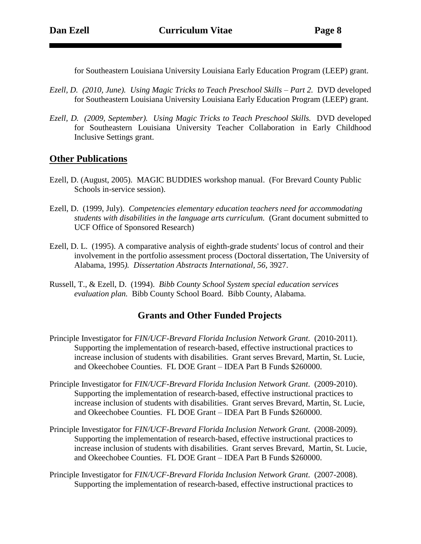for Southeastern Louisiana University Louisiana Early Education Program (LEEP) grant.

- *Ezell, D. (2010, June). Using Magic Tricks to Teach Preschool Skills – Part 2.* DVD developed for Southeastern Louisiana University Louisiana Early Education Program (LEEP) grant.
- *Ezell, D. (2009, September). Using Magic Tricks to Teach Preschool Skills.* DVD developed for Southeastern Louisiana University Teacher Collaboration in Early Childhood Inclusive Settings grant.

### **Other Publications**

- Ezell, D. (August, 2005). MAGIC BUDDIES workshop manual. (For Brevard County Public Schools in-service session).
- Ezell, D. (1999, July).*Competencies elementary education teachers need for accommodating students with disabilities in the language arts curriculum.* (Grant document submitted to UCF Office of Sponsored Research)
- Ezell, D. L. (1995). A comparative analysis of eighth-grade students' locus of control and their involvement in the portfolio assessment process (Doctoral dissertation, The University of Alabama, 1995*). Dissertation Abstracts International, 56*, 3927.
- Russell, T., & Ezell, D. (1994). *Bibb County School System special education services evaluation plan.* Bibb County School Board. Bibb County, Alabama.

## **Grants and Other Funded Projects**

- Principle Investigator for *FIN/UCF-Brevard Florida Inclusion Network Grant*. (2010-2011). Supporting the implementation of research-based, effective instructional practices to increase inclusion of students with disabilities. Grant serves Brevard, Martin, St. Lucie, and Okeechobee Counties. FL DOE Grant – IDEA Part B Funds \$260000.
- Principle Investigator for *FIN/UCF-Brevard Florida Inclusion Network Grant*. (2009-2010). Supporting the implementation of research-based, effective instructional practices to increase inclusion of students with disabilities. Grant serves Brevard, Martin, St. Lucie, and Okeechobee Counties. FL DOE Grant – IDEA Part B Funds \$260000.
- Principle Investigator for *FIN/UCF-Brevard Florida Inclusion Network Grant*. (2008-2009). Supporting the implementation of research-based, effective instructional practices to increase inclusion of students with disabilities. Grant serves Brevard, Martin, St. Lucie, and Okeechobee Counties. FL DOE Grant – IDEA Part B Funds \$260000.
- Principle Investigator for *FIN/UCF-Brevard Florida Inclusion Network Grant*. (2007-2008). Supporting the implementation of research-based, effective instructional practices to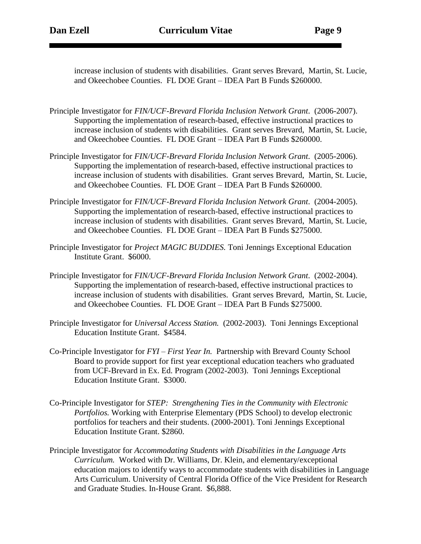increase inclusion of students with disabilities. Grant serves Brevard, Martin, St. Lucie, and Okeechobee Counties. FL DOE Grant – IDEA Part B Funds \$260000.

- Principle Investigator for *FIN/UCF-Brevard Florida Inclusion Network Grant*. (2006-2007). Supporting the implementation of research-based, effective instructional practices to increase inclusion of students with disabilities. Grant serves Brevard, Martin, St. Lucie, and Okeechobee Counties. FL DOE Grant – IDEA Part B Funds \$260000.
- Principle Investigator for *FIN/UCF-Brevard Florida Inclusion Network Grant*. (2005-2006). Supporting the implementation of research-based, effective instructional practices to increase inclusion of students with disabilities. Grant serves Brevard, Martin, St. Lucie, and Okeechobee Counties. FL DOE Grant – IDEA Part B Funds \$260000.
- Principle Investigator for *FIN/UCF-Brevard Florida Inclusion Network Grant*. (2004-2005). Supporting the implementation of research-based, effective instructional practices to increase inclusion of students with disabilities. Grant serves Brevard, Martin, St. Lucie, and Okeechobee Counties. FL DOE Grant – IDEA Part B Funds \$275000.
- Principle Investigator for *Project MAGIC BUDDIES.* Toni Jennings Exceptional Education Institute Grant. \$6000.
- Principle Investigator for *FIN/UCF-Brevard Florida Inclusion Network Grant*. (2002-2004). Supporting the implementation of research-based, effective instructional practices to increase inclusion of students with disabilities. Grant serves Brevard, Martin, St. Lucie, and Okeechobee Counties. FL DOE Grant – IDEA Part B Funds \$275000.
- Principle Investigator for *Universal Access Station.* (2002-2003). Toni Jennings Exceptional Education Institute Grant. \$4584.
- Co-Principle Investigator for *FYI – First Year In.* Partnership with Brevard County School Board to provide support for first year exceptional education teachers who graduated from UCF-Brevard in Ex. Ed. Program (2002-2003). Toni Jennings Exceptional Education Institute Grant. \$3000.
- Co-Principle Investigator for *STEP: Strengthening Ties in the Community with Electronic Portfolios.* Working with Enterprise Elementary (PDS School) to develop electronic portfolios for teachers and their students. (2000-2001). Toni Jennings Exceptional Education Institute Grant. \$2860.
- Principle Investigator for *Accommodating Students with Disabilities in the Language Arts Curriculum.* Worked with Dr. Williams, Dr. Klein, and elementary/exceptional education majors to identify ways to accommodate students with disabilities in Language Arts Curriculum. University of Central Florida Office of the Vice President for Research and Graduate Studies. In-House Grant. \$6,888.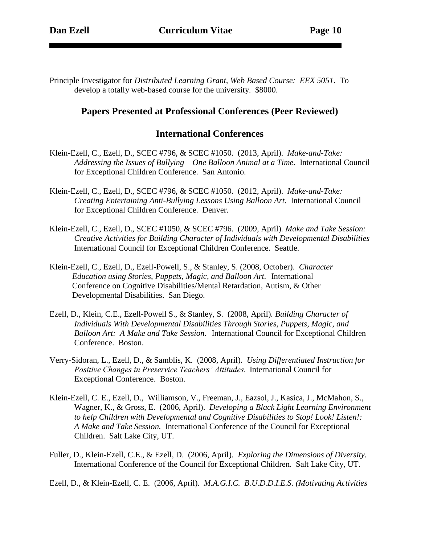Principle Investigator for *Distributed Learning Grant, Web Based Course: EEX 5051*. To develop a totally web-based course for the university. \$8000.

### **Papers Presented at Professional Conferences (Peer Reviewed)**

#### **International Conferences**

- Klein-Ezell, C., Ezell, D., SCEC #796, & SCEC #1050. (2013, April). *Make-and-Take: Addressing the Issues of Bullying – One Balloon Animal at a Time.* International Council for Exceptional Children Conference. San Antonio.
- Klein-Ezell, C., Ezell, D., SCEC #796, & SCEC #1050. (2012, April). *Make-and-Take: Creating Entertaining Anti-Bullying Lessons Using Balloon Art.* International Council for Exceptional Children Conference. Denver.
- Klein-Ezell, C., Ezell, D., SCEC #1050, & SCEC #796. (2009, April)*. Make and Take Session: Creative Activities for Building Character of Individuals with Developmental Disabilities*  International Council for Exceptional Children Conference. Seattle.
- Klein-Ezell, C., Ezell, D., Ezell-Powell, S., & Stanley, S. (2008, October). *Character Education using Stories, Puppets, Magic, and Balloon Art.* International Conference on Cognitive Disabilities/Mental Retardation, Autism, & Other Developmental Disabilities. San Diego.
- Ezell, D., Klein, C.E., Ezell-Powell S., & Stanley, S. (2008, April)*. Building Character of Individuals With Developmental Disabilities Through Stories, Puppets, Magic, and Balloon Art: A Make and Take Session.* International Council for Exceptional Children Conference. Boston.
- Verry-Sidoran, L., Ezell, D., & Samblis, K. (2008, April). *Using Differentiated Instruction for Positive Changes in Preservice Teachers' Attitudes.* International Council for Exceptional Conference. Boston.
- Klein-Ezell, C. E., Ezell, D., Williamson, V., Freeman, J., Eazsol, J., Kasica, J., McMahon, S., Wagner, K., & Gross, E. (2006, April). *Developing a Black Light Learning Environment to help Children with Developmental and Cognitive Disabilities to Stop! Look! Listen!: A Make and Take Session.* International Conference of the Council for Exceptional Children. Salt Lake City, UT.
- Fuller, D., Klein-Ezell, C.E., & Ezell, D. (2006, April). *Exploring the Dimensions of Diversity.* International Conference of the Council for Exceptional Children. Salt Lake City, UT.

Ezell, D., & Klein-Ezell, C. E. (2006, April). *M.A.G.I.C. B.U.D.D.I.E.S. (Motivating Activities*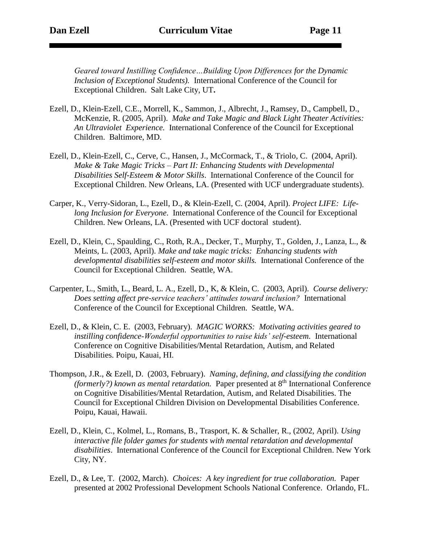*Geared toward Instilling Confidence…Building Upon Differences for the Dynamic Inclusion of Exceptional Students).* International Conference of the Council for Exceptional Children. Salt Lake City, UT**.** 

- Ezell, D., Klein-Ezell, C.E., Morrell, K., Sammon, J., Albrecht, J., Ramsey, D., Campbell, D., McKenzie, R. (2005, April). *Make and Take Magic and Black Light Theater Activities: An Ultraviolet Experience.* International Conference of the Council for Exceptional Children. Baltimore, MD.
- Ezell, D., Klein-Ezell, C., Cerve, C., Hansen, J., McCormack, T., & Triolo, C. (2004, April). *Make & Take Magic Tricks – Part II: Enhancing Students with Developmental Disabilities Self-Esteem & Motor Skills*. International Conference of the Council for Exceptional Children. New Orleans, LA. (Presented with UCF undergraduate students).
- Carper, K., Verry-Sidoran, L., Ezell, D., & Klein-Ezell, C. (2004, April). *Project LIFE: Lifelong Inclusion for Everyone*. International Conference of the Council for Exceptional Children. New Orleans, LA. (Presented with UCF doctoral student).
- Ezell, D., Klein, C., Spaulding, C., Roth, R.A., Decker, T., Murphy, T., Golden, J., Lanza, L., & Meints, L. (2003, April). *Make and take magic tricks: Enhancing students with developmental disabilities self-esteem and motor skills.* International Conference of the Council for Exceptional Children. Seattle, WA.
- Carpenter, L., Smith, L., Beard, L. A., Ezell, D., K, & Klein, C. (2003, April). *Course delivery: Does setting affect pre-service teachers' attitudes toward inclusion?* International Conference of the Council for Exceptional Children. Seattle, WA.
- Ezell, D., & Klein, C. E. (2003, February). *MAGIC WORKS: Motivating activities geared to*  instilling confidence-Wonderful opportunities to raise kids' self-esteem. International Conference on Cognitive Disabilities/Mental Retardation, Autism, and Related Disabilities. Poipu, Kauai, HI.
- Thompson, J.R., & Ezell, D. (2003, February). *Naming, defining, and classifying the condition (formerly?) known as mental retardation.* Paper presented at 8<sup>th</sup> International Conference on Cognitive Disabilities/Mental Retardation, Autism, and Related Disabilities. The Council for Exceptional Children Division on Developmental Disabilities Conference. Poipu, Kauai, Hawaii.
- Ezell, D., Klein, C., Kolmel, L., Romans, B., Trasport, K. & Schaller, R., (2002, April). *Using interactive file folder games for students with mental retardation and developmental disabilities*. International Conference of the Council for Exceptional Children. New York City, NY.
- Ezell, D., & Lee, T. (2002, March). *Choices: A key ingredient for true collaboration.* Paper presented at 2002 Professional Development Schools National Conference. Orlando, FL.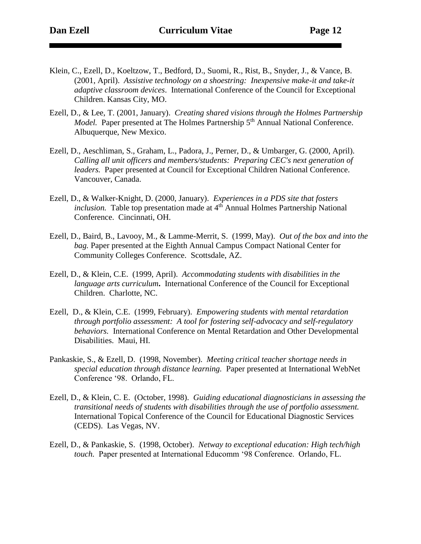- Klein, C., Ezell, D., Koeltzow, T., Bedford, D., Suomi, R., Rist, B., Snyder, J., & Vance, B. (2001, April). *Assistive technology on a shoestring: Inexpensive make-it and take-it adaptive classroom devices*. International Conference of the Council for Exceptional Children. Kansas City, MO.
- Ezell, D., & Lee, T. (2001, January).*Creating shared visions through the Holmes Partnership Model.* Paper presented at The Holmes Partnership 5<sup>th</sup> Annual National Conference. Albuquerque, New Mexico.
- Ezell, D., Aeschliman, S., Graham, L., Padora, J., Perner, D., & Umbarger, G. (2000, April). *Calling all unit officers and members/students: Preparing CEC's next generation of leaders.* Paper presented at Council for Exceptional Children National Conference. Vancouver, Canada.
- Ezell, D., & Walker-Knight, D. (2000, January). *Experiences in a PDS site that fosters inclusion.* Table top presentation made at 4<sup>th</sup> Annual Holmes Partnership National Conference. Cincinnati, OH.
- Ezell, D., Baird, B., Lavooy, M., & Lamme-Merrit, S. (1999, May). *Out of the box and into the bag.* Paper presented at the Eighth Annual Campus Compact National Center for Community Colleges Conference. Scottsdale, AZ.
- Ezell, D., & Klein, C.E. (1999, April). *Accommodating students with disabilities in the language arts curriculum***.** International Conference of the Council for Exceptional Children. Charlotte, NC.
- Ezell, D., & Klein, C.E. (1999, February). *Empowering students with mental retardation through portfolio assessment: A tool for fostering self-advocacy and self-regulatory behaviors.* International Conference on Mental Retardation and Other Developmental Disabilities. Maui, HI.
- Pankaskie, S., & Ezell, D. (1998, November). *Meeting critical teacher shortage needs in special education through distance learning.* Paper presented at International WebNet Conference '98. Orlando, FL.
- Ezell, D., & Klein, C. E. (October, 1998). *Guiding educational diagnosticians in assessing the transitional needs of students with disabilities through the use of portfolio assessment.*  International Topical Conference of the Council for Educational Diagnostic Services (CEDS). Las Vegas, NV.
- Ezell, D., & Pankaskie, S. (1998, October). *Netway to exceptional education: High tech/high touch.* Paper presented at International Educomm '98 Conference. Orlando, FL.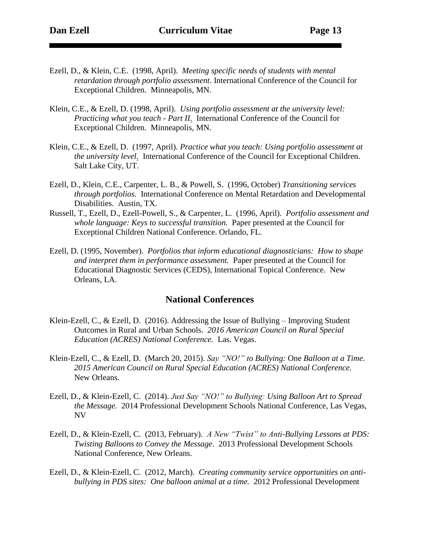- Ezell, D., & Klein, C.E. (1998, April). *Meeting specific needs of students with mental retardation through portfolio assessment*. International Conference of the Council for Exceptional Children. Minneapolis, MN.
- Klein, C.E., & Ezell, D. (1998, April). *Using portfolio assessment at the university level: Practicing what you teach - Part II*. International Conference of the Council for Exceptional Children. Minneapolis, MN.
- Klein, C.E., & Ezell, D. (1997, April). *Practice what you teach: Using portfolio assessment at the university level*. International Conference of the Council for Exceptional Children. Salt Lake City, UT.
- Ezell, D., Klein, C.E., Carpenter, L. B., & Powell, S. (1996, October) *Transitioning services through portfolios.* International Conference on Mental Retardation and Developmental Disabilities. Austin, TX.
- Russell, T., Ezell, D., Ezell-Powell, S., & Carpenter, L. (1996, April). *Portfolio assessment and whole language: Keys to successful transition.* Paper presented at the Council for Exceptional Children National Conference. Orlando, FL.
- Ezell, D. (1995, November). *Portfolios that inform educational diagnosticians: How to shape and interpret them in performance assessment.* Paper presented at the Council for Educational Diagnostic Services (CEDS), International Topical Conference. New Orleans, LA.

### **National Conferences**

- Klein-Ezell, C., & Ezell, D. (2016). Addressing the Issue of Bullying Improving Student Outcomes in Rural and Urban Schools. *2016 American Council on Rural Special Education (ACRES) National Conference.* Las. Vegas.
- Klein-Ezell, C., & Ezell, D. (March 20, 2015). *Say "NO!" to Bullying:* One *Balloon at a Time. 2015 American Council on Rural Special Education (ACRES) National Conference.*  New Orleans.
- Ezell, D., & Klein-Ezell, C. (2014). *Just Say "NO!" to Bullying: Using Balloon Art to Spread the Message.* 2014 Professional Development Schools National Conference, Las Vegas, NV
- Ezell, D., & Klein-Ezell, C. (2013, February). *A New "Twist" to Anti-Bullying Lessons at PDS: Twisting Balloons to Convey the Message*. 2013 Professional Development Schools National Conference, New Orleans.
- Ezell, D., & Klein-Ezell, C. (2012, March). *Creating community service opportunities on antibullying in PDS sites: One balloon animal at a time.* 2012 Professional Development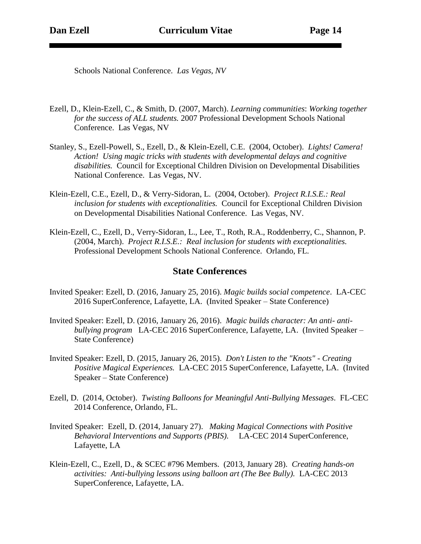Schools National Conference. *Las Vegas, NV*

- Ezell, D., Klein-Ezell, C., & Smith, D. (2007, March). *Learning communities*: *Working together for the success of ALL students.* 2007 Professional Development Schools National Conference. Las Vegas, NV
- Stanley, S., Ezell-Powell, S., Ezell, D., & Klein-Ezell, C.E. (2004, October). *Lights! Camera! Action! Using magic tricks with students with developmental delays and cognitive disabilities.* Council for Exceptional Children Division on Developmental Disabilities National Conference. Las Vegas, NV.
- Klein-Ezell, C.E., Ezell, D., & Verry-Sidoran, L. (2004, October). *Project R.I.S.E.: Real inclusion for students with exceptionalities.* Council for Exceptional Children Division on Developmental Disabilities National Conference. Las Vegas, NV.
- Klein-Ezell, C., Ezell, D., Verry-Sidoran, L., Lee, T., Roth, R.A., Roddenberry, C., Shannon, P. (2004, March). *Project R.I.S.E.: Real inclusion for students with exceptionalities.*  Professional Development Schools National Conference. Orlando, FL.

#### **State Conferences**

- Invited Speaker: Ezell, D. (2016, January 25, 2016). *Magic builds social competence*. LA-CEC 2016 SuperConference, Lafayette, LA. (Invited Speaker – State Conference)
- Invited Speaker: Ezell, D. (2016, January 26, 2016). *Magic builds character: An anti- antibullying program* LA-CEC 2016 SuperConference, Lafayette, LA. (Invited Speaker – State Conference)
- Invited Speaker: Ezell, D. (2015, January 26, 2015). *Don't Listen to the "Knots" - Creating Positive Magical Experiences.* LA-CEC 2015 SuperConference, Lafayette, LA. (Invited Speaker – State Conference)
- Ezell, D. (2014, October). *Twisting Balloons for Meaningful Anti-Bullying Messages*. FL-CEC 2014 Conference, Orlando, FL.
- Invited Speaker: Ezell, D. (2014, January 27). *Making Magical Connections with Positive Behavioral Interventions and Supports (PBIS).* LA-CEC 2014 SuperConference, Lafayette, LA
- Klein-Ezell, C., Ezell, D., & SCEC #796 Members. (2013, January 28). *Creating hands-on activities: Anti-bullying lessons using balloon art (The Bee Bully).* LA-CEC 2013 SuperConference, Lafayette, LA.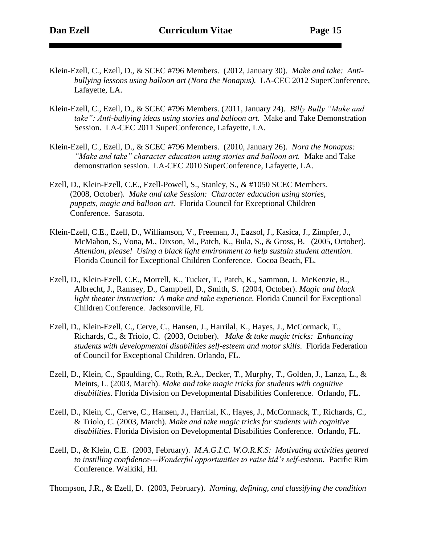- Klein-Ezell, C., Ezell, D., & SCEC #796 Members. (2012, January 30). *Make and take: Antibullying lessons using balloon art (Nora the Nonapus).* LA-CEC 2012 SuperConference, Lafayette, LA.
- Klein-Ezell, C., Ezell, D., & SCEC #796 Members. (2011, January 24). *Billy Bully "Make and take": Anti-bullying ideas using stories and balloon art.* Make and Take Demonstration Session. LA-CEC 2011 SuperConference, Lafayette, LA.
- Klein-Ezell, C., Ezell, D., & SCEC #796 Members. (2010, January 26). *Nora the Nonapus: "Make and take" character education using stories and balloon art.* Make and Take demonstration session. LA-CEC 2010 SuperConference, Lafayette, LA.
- Ezell, D., Klein-Ezell, C.E., Ezell-Powell, S., Stanley, S., & #1050 SCEC Members. (2008, October). *Make and take Session: Character education using stories, puppets, magic and balloon art.* Florida Council for Exceptional Children Conference. Sarasota.
- Klein-Ezell, C.E., Ezell, D., Williamson, V., Freeman, J., Eazsol, J., Kasica, J., Zimpfer, J., McMahon, S., Vona, M., Dixson, M., Patch, K., Bula, S., & Gross, B. (2005, October). *Attention, please! Using a black light environment to help sustain student attention.* Florida Council for Exceptional Children Conference. Cocoa Beach, FL.
- Ezell, D., Klein-Ezell, C.E., Morrell, K., Tucker, T., Patch, K., Sammon, J. McKenzie, R., Albrecht, J., Ramsey, D., Campbell, D., Smith, S. (2004, October). *Magic and black light theater instruction: A make and take experience*. Florida Council for Exceptional Children Conference. Jacksonville, FL
- Ezell, D., Klein-Ezell, C., Cerve, C., Hansen, J., Harrilal, K., Hayes, J., McCormack, T., Richards, C., & Triolo, C. (2003, October). *Make & take magic tricks: Enhancing students with developmental disabilities self-esteem and motor skills*. Florida Federation of Council for Exceptional Children. Orlando, FL.
- Ezell, D., Klein, C., Spaulding, C., Roth, R.A., Decker, T., Murphy, T., Golden, J., Lanza, L., & Meints, L. (2003, March). *Make and take magic tricks for students with cognitive disabilities.* Florida Division on Developmental Disabilities Conference. Orlando, FL.
- Ezell, D., Klein, C., Cerve, C., Hansen, J., Harrilal, K., Hayes, J., McCormack, T., Richards, C., & Triolo, C. (2003, March). *Make and take magic tricks for students with cognitive disabilities.* Florida Division on Developmental Disabilities Conference. Orlando, FL.
- Ezell, D., & Klein, C.E. (2003, February). *M.A.G.I.C. W.O.R.K.S: Motivating activities geared to instilling confidence---Wonderful opportunities to raise kid's self-esteem.* Pacific Rim Conference. Waikiki, HI.

Thompson, J.R., & Ezell, D. (2003, February). *Naming, defining, and classifying the condition*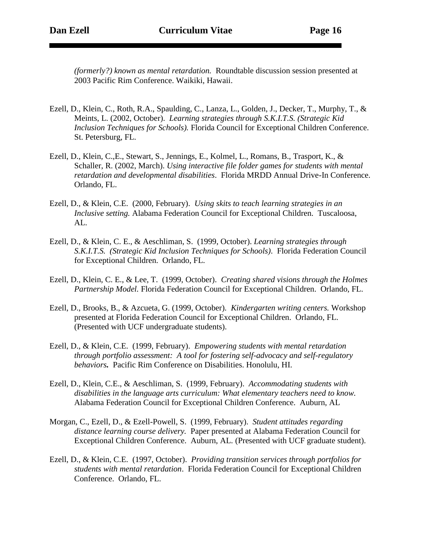*(formerly?) known as mental retardation.* Roundtable discussion session presented at 2003 Pacific Rim Conference. Waikiki, Hawaii.

- Ezell, D., Klein, C., Roth, R.A., Spaulding, C., Lanza, L., Golden, J., Decker, T., Murphy, T., & Meints, L. (2002, October). *Learning strategies through S.K.I.T.S. (Strategic Kid Inclusion Techniques for Schools).* Florida Council for Exceptional Children Conference. St. Petersburg, FL.
- Ezell, D., Klein, C.,E., Stewart, S., Jennings, E., Kolmel, L., Romans, B., Trasport, K., & Schaller, R. (2002, March). *Using interactive file folder games for students with mental retardation and developmental disabilities*. Florida MRDD Annual Drive-In Conference. Orlando, FL.
- Ezell, D., & Klein, C.E. (2000, February). *Using skits to teach learning strategies in an Inclusive setting.* Alabama Federation Council for Exceptional Children. Tuscaloosa, AL.
- Ezell, D., & Klein, C. E., & Aeschliman, S. (1999, October). *Learning strategies through S.K.I.T.S. (Strategic Kid Inclusion Techniques for Schools)*. Florida Federation Council for Exceptional Children. Orlando, FL.
- Ezell, D., Klein, C. E., & Lee, T. (1999, October).*Creating shared visions through the Holmes Partnership Model.* Florida Federation Council for Exceptional Children. Orlando, FL.
- Ezell, D., Brooks, B., & Azcueta, G. (1999, October). *Kindergarten writing centers.* Workshop presented at Florida Federation Council for Exceptional Children. Orlando, FL. (Presented with UCF undergraduate students).
- Ezell, D., & Klein, C.E. (1999, February). *Empowering students with mental retardation through portfolio assessment: A tool for fostering self-advocacy and self-regulatory behaviors.*Pacific Rim Conference on Disabilities. Honolulu, HI.
- Ezell, D., Klein, C.E., & Aeschliman, S. (1999, February). *Accommodating students with disabilities in the language arts curriculum: What elementary teachers need to know.*  Alabama Federation Council for Exceptional Children Conference. Auburn, AL
- Morgan, C., Ezell, D., & Ezell-Powell, S. (1999, February). *Student attitudes regarding distance learning course delivery.* Paper presented at Alabama Federation Council for Exceptional Children Conference. Auburn, AL. (Presented with UCF graduate student).
- Ezell, D., & Klein, C.E. (1997, October). *Providing transition services through portfolios for students with mental retardation*. Florida Federation Council for Exceptional Children Conference. Orlando, FL.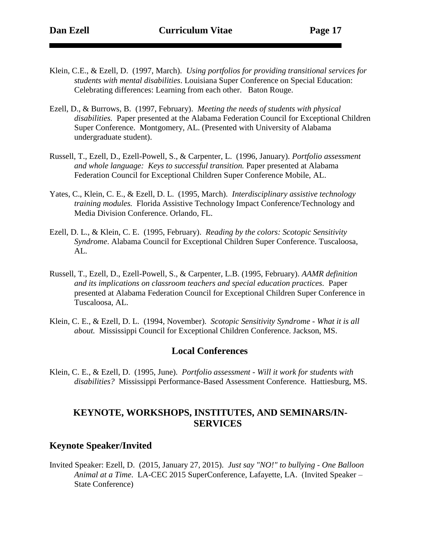- Klein, C.E., & Ezell, D. (1997, March). *Using portfolios for providing transitional services for students with mental disabilities*. Louisiana Super Conference on Special Education: Celebrating differences: Learning from each other. Baton Rouge.
- Ezell, D., & Burrows, B. (1997, February). *Meeting the needs of students with physical disabilities.* Paper presented at the Alabama Federation Council for Exceptional Children Super Conference. Montgomery, AL. (Presented with University of Alabama undergraduate student).
- Russell, T., Ezell, D., Ezell-Powell, S., & Carpenter, L. (1996, January). *Portfolio assessment and whole language: Keys to successful transition.* Paper presented at Alabama Federation Council for Exceptional Children Super Conference Mobile, AL.
- Yates, C., Klein, C. E., & Ezell, D. L. (1995, March). *Interdisciplinary assistive technology training modules.* Florida Assistive Technology Impact Conference/Technology and Media Division Conference. Orlando, FL.
- Ezell, D. L., & Klein, C. E. (1995, February). *Reading by the colors: Scotopic Sensitivity Syndrome*. Alabama Council for Exceptional Children Super Conference. Tuscaloosa, AL.
- Russell, T., Ezell, D., Ezell-Powell, S., & Carpenter, L.B. (1995, February). *AAMR definition and its implications on classroom teachers and special education practices.*Paper presented at Alabama Federation Council for Exceptional Children Super Conference in Tuscaloosa, AL.
- Klein, C. E., & Ezell, D. L. (1994, November). *Scotopic Sensitivity Syndrome - What it is all about.* Mississippi Council for Exceptional Children Conference. Jackson, MS.

### **Local Conferences**

Klein, C. E., & Ezell, D. (1995, June). *Portfolio assessment - Will it work for students with disabilities?* Mississippi Performance-Based Assessment Conference. Hattiesburg, MS.

## **KEYNOTE, WORKSHOPS, INSTITUTES, AND SEMINARS/IN-SERVICES**

### **Keynote Speaker/Invited**

Invited Speaker: Ezell, D. (2015, January 27, 2015). *Just say "NO!" to bullying - One Balloon Animal at a Time*. LA-CEC 2015 SuperConference, Lafayette, LA. (Invited Speaker – State Conference)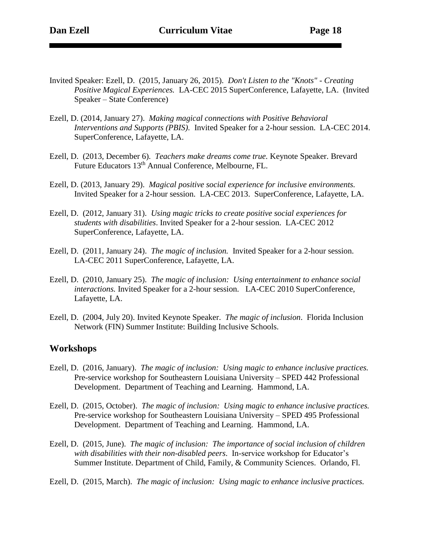- Invited Speaker: Ezell, D. (2015, January 26, 2015). *Don't Listen to the "Knots" - Creating Positive Magical Experiences.* LA-CEC 2015 SuperConference, Lafayette, LA. (Invited Speaker – State Conference)
- Ezell, D. (2014, January 27). *Making magical connections with Positive Behavioral Interventions and Supports (PBIS).* Invited Speaker for a 2-hour session. LA-CEC 2014. SuperConference, Lafayette, LA.
- Ezell, D. (2013, December 6). *Teachers make dreams come true.* Keynote Speaker. Brevard Future Educators 13th Annual Conference, Melbourne, FL.
- Ezell, D. (2013, January 29). *Magical positive social experience for inclusive environments.* Invited Speaker for a 2-hour session. LA-CEC 2013. SuperConference, Lafayette, LA.
- Ezell, D. (2012, January 31). *Using magic tricks to create positive social experiences for students with disabilities*. Invited Speaker for a 2-hour session. LA-CEC 2012 SuperConference, Lafayette, LA.
- Ezell, D. (2011, January 24). *The magic of inclusion.* Invited Speaker for a 2-hour session. LA-CEC 2011 SuperConference, Lafayette, LA.
- Ezell, D. (2010, January 25). *The magic of inclusion: Using entertainment to enhance social interactions.* Invited Speaker for a 2-hour session. LA-CEC 2010 SuperConference, Lafayette, LA.
- Ezell, D. (2004, July 20). Invited Keynote Speaker. *The magic of inclusion*. Florida Inclusion Network (FIN) Summer Institute: Building Inclusive Schools.

#### **Workshops**

- Ezell, D. (2016, January). *The magic of inclusion: Using magic to enhance inclusive practices.* Pre-service workshop for Southeastern Louisiana University – SPED 442 Professional Development. Department of Teaching and Learning. Hammond, LA.
- Ezell, D. (2015, October). *The magic of inclusion: Using magic to enhance inclusive practices.* Pre-service workshop for Southeastern Louisiana University – SPED 495 Professional Development. Department of Teaching and Learning. Hammond, LA.
- Ezell, D. (2015, June). *The magic of inclusion: The importance of social inclusion of children with disabilities with their non-disabled peers*. In-service workshop for Educator's Summer Institute. Department of Child, Family, & Community Sciences. Orlando, Fl.
- Ezell, D. (2015, March). *The magic of inclusion: Using magic to enhance inclusive practices.*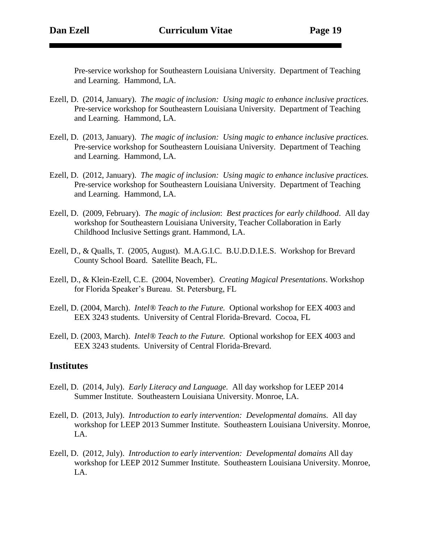Pre-service workshop for Southeastern Louisiana University. Department of Teaching and Learning. Hammond, LA.

- Ezell, D. (2014, January). *The magic of inclusion: Using magic to enhance inclusive practices.* Pre-service workshop for Southeastern Louisiana University. Department of Teaching and Learning. Hammond, LA.
- Ezell, D. (2013, January). *The magic of inclusion: Using magic to enhance inclusive practices.* Pre-service workshop for Southeastern Louisiana University. Department of Teaching and Learning. Hammond, LA.
- Ezell, D. (2012, January). *The magic of inclusion: Using magic to enhance inclusive practices.* Pre-service workshop for Southeastern Louisiana University. Department of Teaching and Learning. Hammond, LA.
- Ezell, D. (2009, February). *The magic of inclusion*: *Best practices for early childhood*. All day workshop for Southeastern Louisiana University, Teacher Collaboration in Early Childhood Inclusive Settings grant. Hammond, LA.
- Ezell, D., & Qualls, T. (2005, August). M.A.G.I.C. B.U.D.D.I.E.S. Workshop for Brevard County School Board. Satellite Beach, FL.
- Ezell, D., & Klein-Ezell, C.E. (2004, November). *Creating Magical Presentations*. Workshop for Florida Speaker's Bureau. St. Petersburg, FL
- Ezell, D. (2004, March). *Intel® Teach to the Future.* Optional workshop for EEX 4003 and EEX 3243 students. University of Central Florida-Brevard. Cocoa, FL
- Ezell, D. (2003, March). *Intel® Teach to the Future.* Optional workshop for EEX 4003 and EEX 3243 students. University of Central Florida-Brevard.

#### **Institutes**

- Ezell, D. (2014, July). *Early Literacy and Language.* All day workshop for LEEP 2014 Summer Institute. Southeastern Louisiana University. Monroe, LA.
- Ezell, D. (2013, July). *Introduction to early intervention: Developmental domains.* All day workshop for LEEP 2013 Summer Institute. Southeastern Louisiana University. Monroe, LA.
- Ezell, D. (2012, July). *Introduction to early intervention: Developmental domains* All day workshop for LEEP 2012 Summer Institute. Southeastern Louisiana University. Monroe, LA.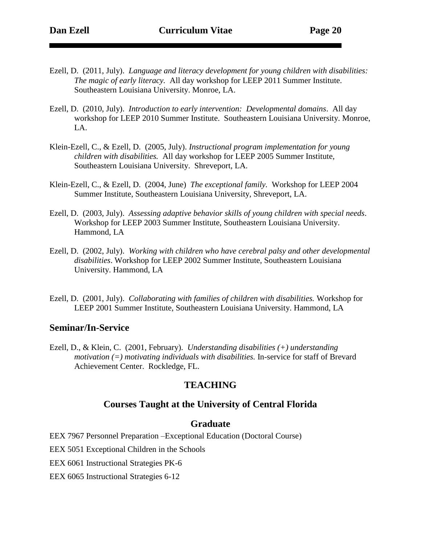- Ezell, D. (2011, July). *Language and literacy development for young children with disabilities: The magic of early literacy.* All day workshop for LEEP 2011 Summer Institute. Southeastern Louisiana University. Monroe, LA.
- Ezell, D. (2010, July). *Introduction to early intervention: Developmental domains*. All day workshop for LEEP 2010 Summer Institute. Southeastern Louisiana University. Monroe, LA.
- Klein-Ezell, C., & Ezell, D. (2005, July). *Instructional program implementation for young children with disabilities.* All day workshop for LEEP 2005 Summer Institute, Southeastern Louisiana University. Shreveport, LA.
- Klein-Ezell, C., & Ezell, D. (2004, June) *The exceptional family.* Workshop for LEEP 2004 Summer Institute, Southeastern Louisiana University, Shreveport, LA.
- Ezell, D. (2003, July). *Assessing adaptive behavior skills of young children with special needs*. Workshop for LEEP 2003 Summer Institute, Southeastern Louisiana University. Hammond, LA
- Ezell, D. (2002, July). *Working with children who have cerebral palsy and other developmental disabilities*. Workshop for LEEP 2002 Summer Institute, Southeastern Louisiana University. Hammond, LA
- Ezell, D. (2001, July). *Collaborating with families of children with disabilities.* Workshop for LEEP 2001 Summer Institute, Southeastern Louisiana University. Hammond, LA

#### **Seminar/In-Service**

Ezell, D., & Klein, C. (2001, February). *Understanding disabilities (+) understanding motivation (=) motivating individuals with disabilities.* In-service for staff of Brevard Achievement Center. Rockledge, FL.

### **TEACHING**

#### **Courses Taught at the University of Central Florida**

#### **Graduate**

EEX 7967 Personnel Preparation –Exceptional Education (Doctoral Course)

EEX 5051 Exceptional Children in the Schools

EEX 6061 Instructional Strategies PK-6

EEX 6065 Instructional Strategies 6-12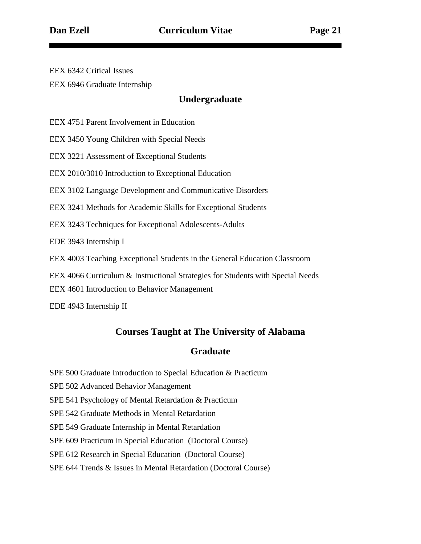EEX 6342 Critical Issues EEX 6946 Graduate Internship

## **Undergraduate**

EEX 4751 Parent Involvement in Education

EEX 3450 Young Children with Special Needs

EEX 3221 Assessment of Exceptional Students

EEX 2010/3010 Introduction to Exceptional Education

EEX 3102 Language Development and Communicative Disorders

EEX 3241 Methods for Academic Skills for Exceptional Students

EEX 3243 Techniques for Exceptional Adolescents-Adults

EDE 3943 Internship I

EEX 4003 Teaching Exceptional Students in the General Education Classroom

EEX 4066 Curriculum & Instructional Strategies for Students with Special Needs

EEX 4601 Introduction to Behavior Management

EDE 4943 Internship II

## **Courses Taught at The University of Alabama**

## **Graduate**

- SPE 500 Graduate Introduction to Special Education & Practicum
- SPE 502 Advanced Behavior Management
- SPE 541 Psychology of Mental Retardation & Practicum
- SPE 542 Graduate Methods in Mental Retardation
- SPE 549 Graduate Internship in Mental Retardation

SPE 609 Practicum in Special Education (Doctoral Course)

SPE 612 Research in Special Education (Doctoral Course)

#### SPE 644 Trends & Issues in Mental Retardation (Doctoral Course)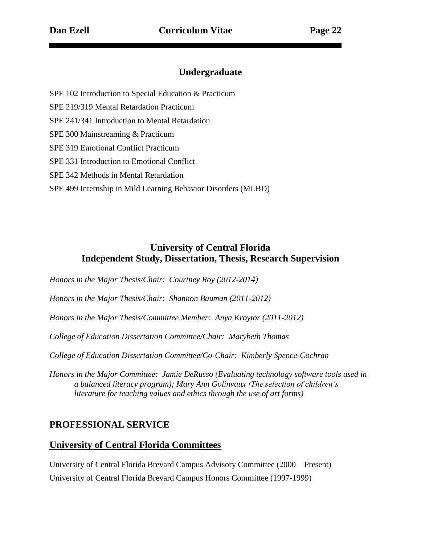## **Undergraduate**

SPE 102 Introduction to Special Education & Practicum

SPE 219/319 Mental Retardation Practicum

SPE 241/341 Introduction to Mental Retardation

SPE 300 Mainstreaming & Practicum

SPE 319 Emotional Conflict Practicum

SPE 331 Introduction to Emotional Conflict

SPE 342 Methods in Mental Retardation

SPE 499 Internship in Mild Learning Behavior Disorders (MLBD)

## **University of Central Florida Independent Study, Dissertation, Thesis, Research Supervision**

*Honors in the Major Thesis/Chair: Courtney Roy (2012-2014)*

*Honors in the Major Thesis/Chair: Shannon Bauman (2011-2012)*

*Honors in the Major Thesis/Committee Member: Anya Kroytor (2011-2012)*

*College of Education Dissertation Committee/Chair: Marybeth Thomas*

*College of Education Dissertation Committee/Co-Chair: Kimberly Spence-Cochran*

*Honors in the Major Committee: Jamie DeRusso (Evaluating technology software tools used in a balanced literacy program); Mary Ann Golinvaux (The selection of children's literature for teaching values and ethics through the use of art forms)* 

## **PROFESSIONAL SERVICE**

### **University of Central Florida Committees**

University of Central Florida Brevard Campus Advisory Committee (2000 – Present) University of Central Florida Brevard Campus Honors Committee (1997-1999)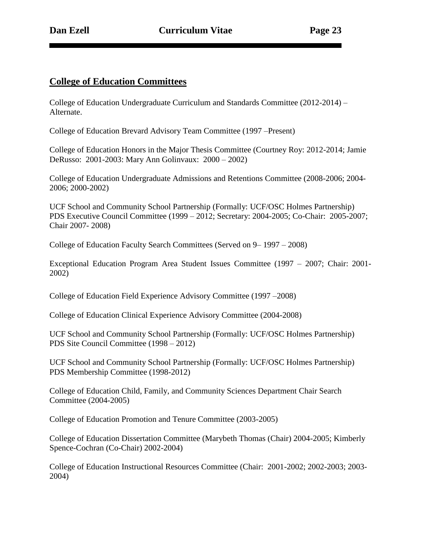## **College of Education Committees**

College of Education Undergraduate Curriculum and Standards Committee (2012-2014) – Alternate.

College of Education Brevard Advisory Team Committee (1997 –Present)

College of Education Honors in the Major Thesis Committee (Courtney Roy: 2012-2014; Jamie DeRusso: 2001-2003: Mary Ann Golinvaux: 2000 – 2002)

College of Education Undergraduate Admissions and Retentions Committee (2008-2006; 2004- 2006; 2000-2002)

UCF School and Community School Partnership (Formally: UCF/OSC Holmes Partnership) PDS Executive Council Committee (1999 – 2012; Secretary: 2004-2005; Co-Chair: 2005-2007; Chair 2007- 2008)

College of Education Faculty Search Committees (Served on 9– 1997 – 2008)

Exceptional Education Program Area Student Issues Committee (1997 – 2007; Chair: 2001- 2002)

College of Education Field Experience Advisory Committee (1997 –2008)

College of Education Clinical Experience Advisory Committee (2004-2008)

UCF School and Community School Partnership (Formally: UCF/OSC Holmes Partnership) PDS Site Council Committee (1998 – 2012)

UCF School and Community School Partnership (Formally: UCF/OSC Holmes Partnership) PDS Membership Committee (1998-2012)

College of Education Child, Family, and Community Sciences Department Chair Search Committee (2004-2005)

College of Education Promotion and Tenure Committee (2003-2005)

College of Education Dissertation Committee (Marybeth Thomas (Chair) 2004-2005; Kimberly Spence-Cochran (Co-Chair) 2002-2004)

College of Education Instructional Resources Committee (Chair: 2001-2002; 2002-2003; 2003- 2004)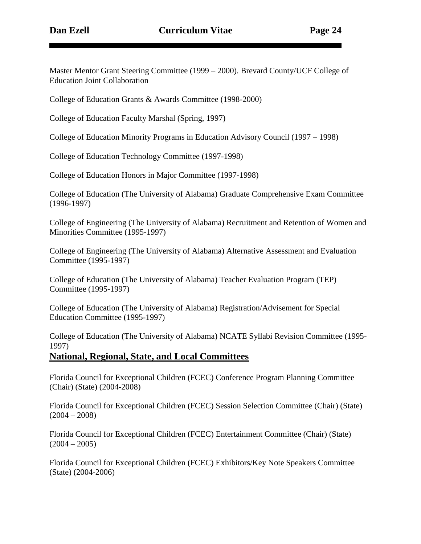Master Mentor Grant Steering Committee (1999 – 2000). Brevard County/UCF College of Education Joint Collaboration

College of Education Grants & Awards Committee (1998-2000)

College of Education Faculty Marshal (Spring, 1997)

College of Education Minority Programs in Education Advisory Council (1997 – 1998)

College of Education Technology Committee (1997-1998)

College of Education Honors in Major Committee (1997-1998)

College of Education (The University of Alabama) Graduate Comprehensive Exam Committee (1996-1997)

College of Engineering (The University of Alabama) Recruitment and Retention of Women and Minorities Committee (1995-1997)

College of Engineering (The University of Alabama) Alternative Assessment and Evaluation Committee (1995-1997)

College of Education (The University of Alabama) Teacher Evaluation Program (TEP) Committee (1995-1997)

College of Education (The University of Alabama) Registration/Advisement for Special Education Committee (1995-1997)

College of Education (The University of Alabama) NCATE Syllabi Revision Committee (1995- 1997)

#### **National, Regional, State, and Local Committees**

Florida Council for Exceptional Children (FCEC) Conference Program Planning Committee (Chair) (State) (2004-2008)

Florida Council for Exceptional Children (FCEC) Session Selection Committee (Chair) (State)  $(2004 - 2008)$ 

Florida Council for Exceptional Children (FCEC) Entertainment Committee (Chair) (State)  $(2004 - 2005)$ 

Florida Council for Exceptional Children (FCEC) Exhibitors/Key Note Speakers Committee (State) (2004-2006)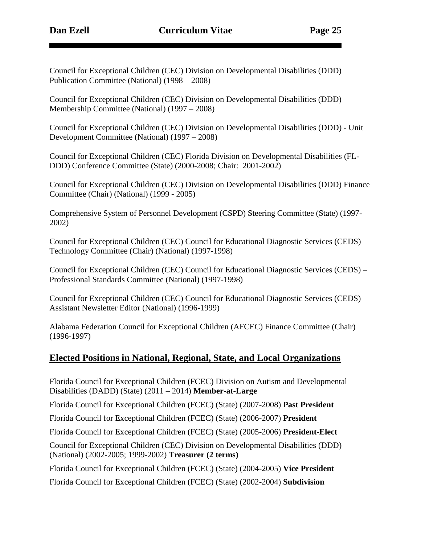Council for Exceptional Children (CEC) Division on Developmental Disabilities (DDD) Publication Committee (National) (1998 – 2008)

Council for Exceptional Children (CEC) Division on Developmental Disabilities (DDD) Membership Committee (National) (1997 – 2008)

Council for Exceptional Children (CEC) Division on Developmental Disabilities (DDD) - Unit Development Committee (National) (1997 – 2008)

Council for Exceptional Children (CEC) Florida Division on Developmental Disabilities (FL-DDD) Conference Committee (State) (2000-2008; Chair: 2001-2002)

Council for Exceptional Children (CEC) Division on Developmental Disabilities (DDD) Finance Committee (Chair) (National) (1999 - 2005)

Comprehensive System of Personnel Development (CSPD) Steering Committee (State) (1997- 2002)

Council for Exceptional Children (CEC) Council for Educational Diagnostic Services (CEDS) – Technology Committee (Chair) (National) (1997-1998)

Council for Exceptional Children (CEC) Council for Educational Diagnostic Services (CEDS) – Professional Standards Committee (National) (1997-1998)

Council for Exceptional Children (CEC) Council for Educational Diagnostic Services (CEDS) – Assistant Newsletter Editor (National) (1996-1999)

Alabama Federation Council for Exceptional Children (AFCEC) Finance Committee (Chair) (1996-1997)

## **Elected Positions in National, Regional, State, and Local Organizations**

Florida Council for Exceptional Children (FCEC) Division on Autism and Developmental Disabilities (DADD) (State) (2011 – 2014) **Member-at-Large**

Florida Council for Exceptional Children (FCEC) (State) (2007-2008) **Past President**

Florida Council for Exceptional Children (FCEC) (State) (2006-2007) **President**

Florida Council for Exceptional Children (FCEC) (State) (2005-2006) **President-Elect**

Council for Exceptional Children (CEC) Division on Developmental Disabilities (DDD) (National) (2002-2005; 1999-2002) **Treasurer (2 terms)**

Florida Council for Exceptional Children (FCEC) (State) (2004-2005) **Vice President**

Florida Council for Exceptional Children (FCEC) (State) (2002-2004) **Subdivision**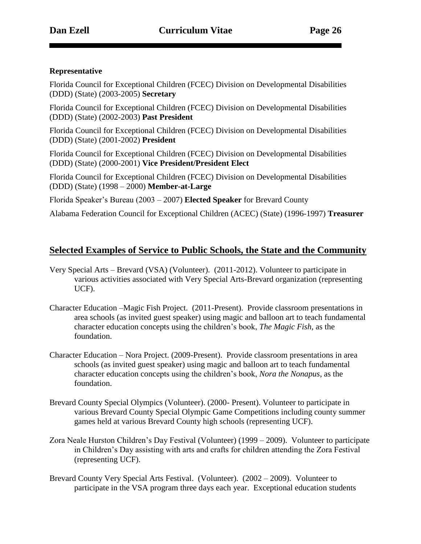#### **Representative**

Florida Council for Exceptional Children (FCEC) Division on Developmental Disabilities (DDD) (State) (2003-2005) **Secretary**

Florida Council for Exceptional Children (FCEC) Division on Developmental Disabilities (DDD) (State) (2002-2003) **Past President**

Florida Council for Exceptional Children (FCEC) Division on Developmental Disabilities (DDD) (State) (2001-2002) **President**

Florida Council for Exceptional Children (FCEC) Division on Developmental Disabilities (DDD) (State) (2000-2001) **Vice President/President Elect**

Florida Council for Exceptional Children (FCEC) Division on Developmental Disabilities (DDD) (State) (1998 – 2000) **Member-at-Large**

Florida Speaker's Bureau (2003 – 2007) **Elected Speaker** for Brevard County

Alabama Federation Council for Exceptional Children (ACEC) (State) (1996-1997) **Treasurer**

#### **Selected Examples of Service to Public Schools, the State and the Community**

- Very Special Arts Brevard (VSA) (Volunteer). (2011-2012). Volunteer to participate in various activities associated with Very Special Arts-Brevard organization (representing UCF).
- Character Education –Magic Fish Project. (2011-Present). Provide classroom presentations in area schools (as invited guest speaker) using magic and balloon art to teach fundamental character education concepts using the children's book, *The Magic Fish,* as the foundation.
- Character Education Nora Project. (2009-Present). Provide classroom presentations in area schools (as invited guest speaker) using magic and balloon art to teach fundamental character education concepts using the children's book, *Nora the Nonapus*, as the foundation.
- Brevard County Special Olympics (Volunteer). (2000- Present). Volunteer to participate in various Brevard County Special Olympic Game Competitions including county summer games held at various Brevard County high schools (representing UCF).
- Zora Neale Hurston Children's Day Festival (Volunteer) (1999 2009). Volunteer to participate in Children's Day assisting with arts and crafts for children attending the Zora Festival (representing UCF).
- Brevard County Very Special Arts Festival. (Volunteer). (2002 2009). Volunteer to participate in the VSA program three days each year. Exceptional education students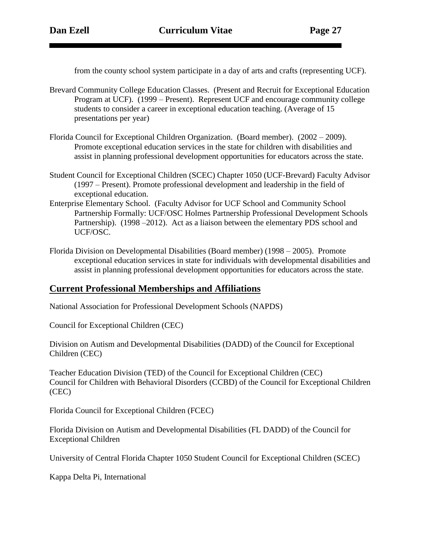from the county school system participate in a day of arts and crafts (representing UCF).

- Brevard Community College Education Classes. (Present and Recruit for Exceptional Education Program at UCF). (1999 – Present). Represent UCF and encourage community college students to consider a career in exceptional education teaching. (Average of 15 presentations per year)
- Florida Council for Exceptional Children Organization. (Board member). (2002 2009). Promote exceptional education services in the state for children with disabilities and assist in planning professional development opportunities for educators across the state.
- Student Council for Exceptional Children (SCEC) Chapter 1050 (UCF-Brevard) Faculty Advisor (1997 – Present). Promote professional development and leadership in the field of exceptional education.
- Enterprise Elementary School. (Faculty Advisor for UCF School and Community School Partnership Formally: UCF/OSC Holmes Partnership Professional Development Schools Partnership). (1998 –2012). Act as a liaison between the elementary PDS school and UCF/OSC.
- Florida Division on Developmental Disabilities (Board member) (1998 2005). Promote exceptional education services in state for individuals with developmental disabilities and assist in planning professional development opportunities for educators across the state.

### **Current Professional Memberships and Affiliations**

National Association for Professional Development Schools (NAPDS)

Council for Exceptional Children (CEC)

Division on Autism and Developmental Disabilities (DADD) of the Council for Exceptional Children (CEC)

Teacher Education Division (TED) of the Council for Exceptional Children (CEC) Council for Children with Behavioral Disorders (CCBD) of the Council for Exceptional Children (CEC)

Florida Council for Exceptional Children (FCEC)

Florida Division on Autism and Developmental Disabilities (FL DADD) of the Council for Exceptional Children

University of Central Florida Chapter 1050 Student Council for Exceptional Children (SCEC)

Kappa Delta Pi, International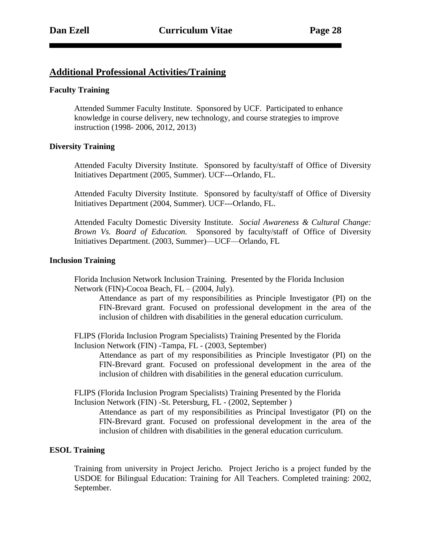### **Additional Professional Activities/Training**

#### **Faculty Training**

Attended Summer Faculty Institute. Sponsored by UCF. Participated to enhance knowledge in course delivery, new technology, and course strategies to improve instruction (1998- 2006, 2012, 2013)

#### **Diversity Training**

Attended Faculty Diversity Institute. Sponsored by faculty/staff of Office of Diversity Initiatives Department (2005, Summer). UCF---Orlando, FL.

Attended Faculty Diversity Institute. Sponsored by faculty/staff of Office of Diversity Initiatives Department (2004, Summer). UCF---Orlando, FL.

Attended Faculty Domestic Diversity Institute. *Social Awareness & Cultural Change: Brown Vs. Board of Education.* Sponsored by faculty/staff of Office of Diversity Initiatives Department. (2003, Summer)—UCF—Orlando, FL

#### **Inclusion Training**

Florida Inclusion Network Inclusion Training. Presented by the Florida Inclusion Network (FIN)-Cocoa Beach, FL – (2004, July).

Attendance as part of my responsibilities as Principle Investigator (PI) on the FIN-Brevard grant. Focused on professional development in the area of the inclusion of children with disabilities in the general education curriculum.

FLIPS (Florida Inclusion Program Specialists) Training Presented by the Florida Inclusion Network (FIN) -Tampa, FL - (2003, September)

Attendance as part of my responsibilities as Principle Investigator (PI) on the FIN-Brevard grant. Focused on professional development in the area of the inclusion of children with disabilities in the general education curriculum.

FLIPS (Florida Inclusion Program Specialists) Training Presented by the Florida Inclusion Network (FIN) -St. Petersburg, FL - (2002, September )

Attendance as part of my responsibilities as Principal Investigator (PI) on the FIN-Brevard grant. Focused on professional development in the area of the inclusion of children with disabilities in the general education curriculum.

#### **ESOL Training**

Training from university in Project Jericho. Project Jericho is a project funded by the USDOE for Bilingual Education: Training for All Teachers. Completed training: 2002, September.